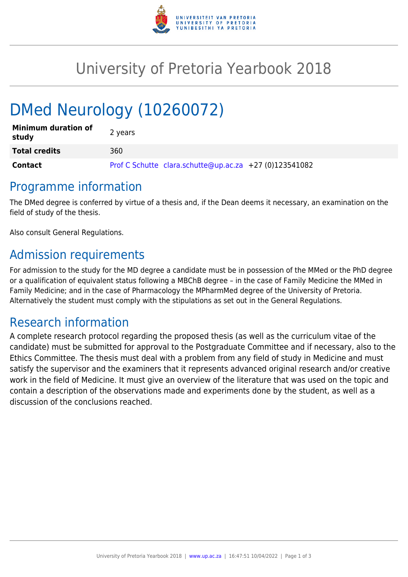

## University of Pretoria Yearbook 2018

# DMed Neurology (10260072)

| <b>Minimum duration of</b><br>study | 2 years                                                |
|-------------------------------------|--------------------------------------------------------|
| <b>Total credits</b>                | 360                                                    |
| Contact                             | Prof C Schutte clara.schutte@up.ac.za +27 (0)123541082 |

#### Programme information

The DMed degree is conferred by virtue of a thesis and, if the Dean deems it necessary, an examination on the field of study of the thesis.

Also consult General Regulations.

## Admission requirements

For admission to the study for the MD degree a candidate must be in possession of the MMed or the PhD degree or a qualification of equivalent status following a MBChB degree – in the case of Family Medicine the MMed in Family Medicine; and in the case of Pharmacology the MPharmMed degree of the University of Pretoria. Alternatively the student must comply with the stipulations as set out in the General Regulations.

#### Research information

A complete research protocol regarding the proposed thesis (as well as the curriculum vitae of the candidate) must be submitted for approval to the Postgraduate Committee and if necessary, also to the Ethics Committee. The thesis must deal with a problem from any field of study in Medicine and must satisfy the supervisor and the examiners that it represents advanced original research and/or creative work in the field of Medicine. It must give an overview of the literature that was used on the topic and contain a description of the observations made and experiments done by the student, as well as a discussion of the conclusions reached.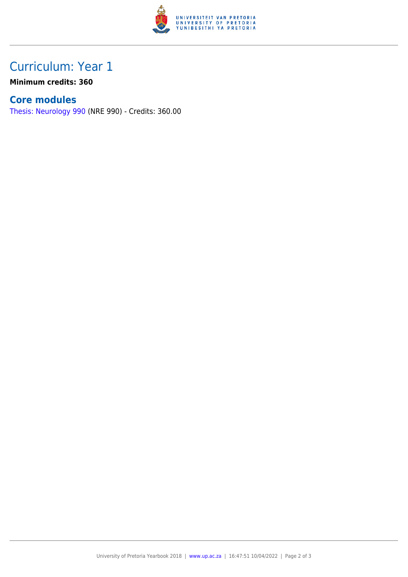

## Curriculum: Year 1

**Minimum credits: 360**

#### **Core modules**

[Thesis: Neurology 990](https://www.up.ac.za/faculty-of-education/yearbooks/2018/modules/view/NRE 990) (NRE 990) - Credits: 360.00